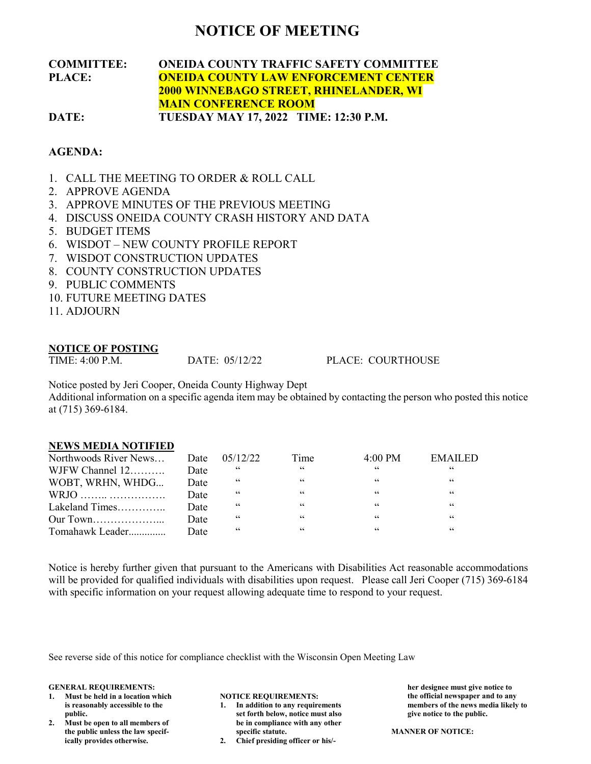## **NOTICE OF MEETING**

## **COMMITTEE: ONEIDA COUNTY TRAFFIC SAFETY COMMITTEE PLACE: ONEIDA COUNTY LAW ENFORCEMENT CENTER 2000 WINNEBAGO STREET, RHINELANDER, WI MAIN CONFERENCE ROOM DATE: TUESDAY MAY 17, 2022 TIME: 12:30 P.M.**

## **AGENDA:**

- 1. CALL THE MEETING TO ORDER & ROLL CALL
- 2. APPROVE AGENDA
- 3. APPROVE MINUTES OF THE PREVIOUS MEETING
- 4. DISCUSS ONEIDA COUNTY CRASH HISTORY AND DATA
- 5. BUDGET ITEMS
- 6. WISDOT NEW COUNTY PROFILE REPORT
- 7. WISDOT CONSTRUCTION UPDATES
- 8. COUNTY CONSTRUCTION UPDATES
- 9. PUBLIC COMMENTS
- 10. FUTURE MEETING DATES
- 11. ADJOURN

# **NOTICE OF POSTING**<br>TIME: 4:00 P.M.

DATE: 05/12/22 PLACE: COURTHOUSE

Notice posted by Jeri Cooper, Oneida County Highway Dept

Additional information on a specific agenda item may be obtained by contacting the person who posted this notice at (715) 369-6184.

## **NEWS MEDIA NOTIFIED**

| Northwoods River News |      | Date 05/12/22 | Time | $4:00 \text{ PM}$ | <b>EMAILED</b> |
|-----------------------|------|---------------|------|-------------------|----------------|
| WJFW Channel $12$     | Date |               | 66   | 66                | 66             |
| WOBT, WRHN, WHDG      | Date | 66            | "    | 66                | 66             |
|                       | Date | 66            | 66   | 66                | 66             |
| Lakeland Times        | Date | 66            | "    | 66                | 66             |
|                       | Date | 66            | 66   | 66                | 66             |
| Tomahawk Leader       | Date | 66            | "    | "                 | "              |

Notice is hereby further given that pursuant to the Americans with Disabilities Act reasonable accommodations will be provided for qualified individuals with disabilities upon request. Please call Jeri Cooper (715) 369-6184 with specific information on your request allowing adequate time to respond to your request.

See reverse side of this notice for compliance checklist with the Wisconsin Open Meeting Law

### **GENERAL REQUIREMENTS:**

- **1. Must be held in a location which is reasonably accessible to the public.**
- **2. Must be open to all members of the public unless the law specifically provides otherwise.**

## **NOTICE REQUIREMENTS:**

- **1. In addition to any requirements set forth below, notice must also be in compliance with any other specific statute.**
- **2. Chief presiding officer or his/-**

**her designee must give notice to the official newspaper and to any members of the news media likely to give notice to the public.**

**MANNER OF NOTICE:**